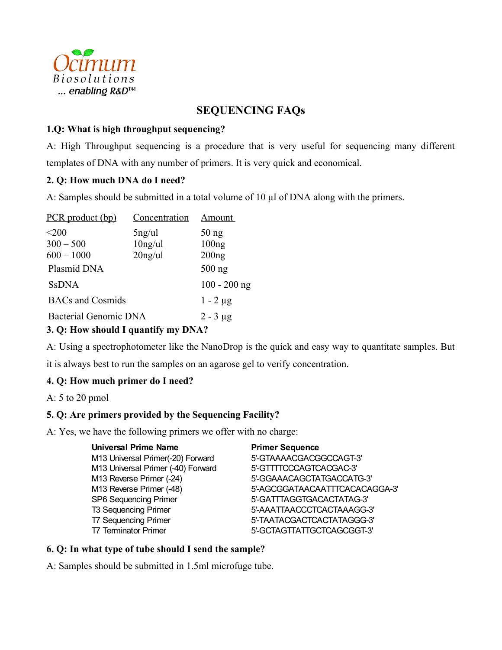

# **SEQUENCING FAQs**

#### **1.Q: What is high throughput sequencing?**

A: High Throughput sequencing is a procedure that is very useful for sequencing many different templates of DNA with any number of primers. It is very quick and economical.

# **2. Q: How much DNA do I need?**

A: Samples should be submitted in a total volume of 10  $\mu$ l of DNA along with the primers.

| PCR product (bp)             | Concentration | <b>Amount</b>  |
|------------------------------|---------------|----------------|
| $<$ 200                      | $5$ ng/ul     | $50$ ng        |
| $300 - 500$                  | $10$ ng/ul    | 100ng          |
| $600 - 1000$                 | $20$ ng/ul    | 200ng          |
| Plasmid DNA                  |               | $500$ ng       |
| <b>SsDNA</b>                 |               | $100 - 200$ ng |
| <b>BACs</b> and Cosmids      |               | $1 - 2 \mu g$  |
| <b>Bacterial Genomic DNA</b> |               | $2 - 3 \mu g$  |
|                              |               |                |

#### **3. Q: How should I quantify my DNA?**

A: Using a spectrophotometer like the NanoDrop is the quick and easy way to quantitate samples. But it is always best to run the samples on an agarose gel to verify concentration.

# **4. Q: How much primer do I need?**

A: 5 to 20 pmol

# **5. Q: Are primers provided by the Sequencing Facility?**

A: Yes, we have the following primers we offer with no charge:

| <b>Universal Prime Name</b>        | <b>Primer Sequence</b>         |
|------------------------------------|--------------------------------|
| M13 Universal Primer(-20) Forward  | 5'-GTAAAACGACGGCCAGT-3'        |
| M13 Universal Primer (-40) Forward | 5'-GTTTTCCCAGTCACGAC-3'        |
| M13 Reverse Primer (-24)           | 5'-GGAAACAGCTATGACCATG-3'      |
| M13 Reverse Primer (-48)           | 5'-AGCGGATAACAATTTCACACAGGA-3' |
| <b>SP6 Sequencing Primer</b>       | 5'-GATTTAGGTGACACTATAG-3'      |
| <b>T3 Sequencing Primer</b>        | 5'-AAATTAACCCTCACTAAAGG-3'     |
| <b>T7 Sequencing Primer</b>        | 5'-TAATACGACTCACTATAGGG-3'     |
| <b>T7 Terminator Primer</b>        | 5'-GCTAGTTATTGCTCAGCGGT-3'     |

# **6. Q: In what type of tube should I send the sample?**

A: Samples should be submitted in 1.5ml microfuge tube.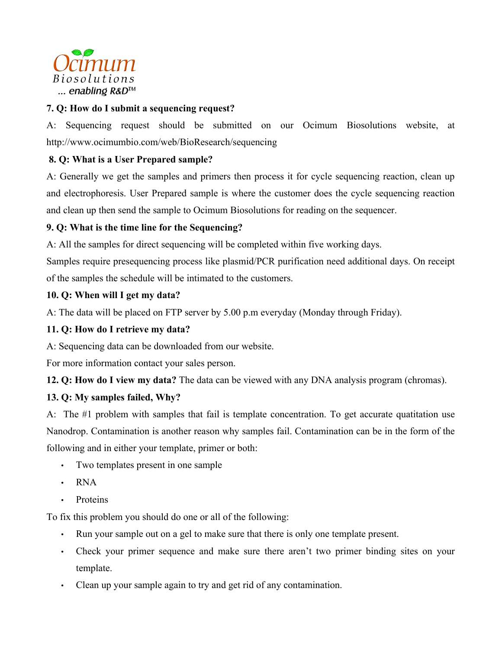

# **7. Q: How do I submit a sequencing request?**

A: Sequencing request should be submitted on our Ocimum Biosolutions website, at http://www.ocimumbio.com/web/BioResearch/sequencing

# **8. Q: What is a User Prepared sample?**

A: Generally we get the samples and primers then process it for cycle sequencing reaction, clean up and electrophoresis. User Prepared sample is where the customer does the cycle sequencing reaction and clean up then send the sample to Ocimum Biosolutions for reading on the sequencer.

# **9. Q: What is the time line for the Sequencing?**

A: All the samples for direct sequencing will be completed within five working days.

Samples require presequencing process like plasmid/PCR purification need additional days. On receipt of the samples the schedule will be intimated to the customers.

# **10. Q: When will I get my data?**

A: The data will be placed on FTP server by 5.00 p.m everyday (Monday through Friday).

# **11. Q: How do I retrieve my data?**

A: Sequencing data can be downloaded from our website.

For more information contact your sales person.

**12. Q: How do I view my data?** The data can be viewed with any DNA analysis program (chromas).

# **13. Q: My samples failed, Why?**

A: The #1 problem with samples that fail is template concentration. To get accurate quatitation use Nanodrop. Contamination is another reason why samples fail. Contamination can be in the form of the following and in either your template, primer or both:

- Two templates present in one sample
- RNA
- Proteins

To fix this problem you should do one or all of the following:

- Run your sample out on a gel to make sure that there is only one template present.
- Check your primer sequence and make sure there aren't two primer binding sites on your template.
- Clean up your sample again to try and get rid of any contamination.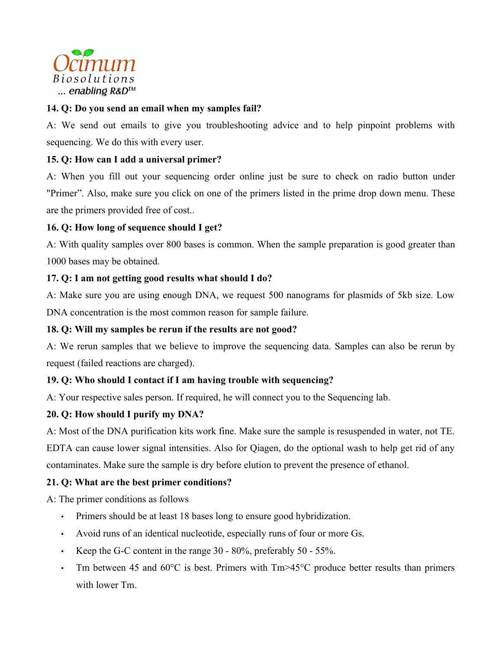

# **14. Q: Do you send an email when my samples fail?**

A: We send out emails to give you troubleshooting advice and to help pinpoint problems with sequencing. We do this with every user.

# **15. Q: How can I add a universal primer?**

A: When you fill out your sequencing order online just be sure to check on radio button under "Primer". Also, make sure you click on one of the primers listed in the prime drop down menu. These are the primers provided free of cost..

# **16. Q: How long of sequence should I get?**

A: With quality samples over 800 bases is common. When the sample preparation is good greater than 1000 bases may be obtained.

# **17. Q: I am not getting good results what should I do?**

A: Make sure you are using enough DNA, we request 500 nanograms for plasmids of 5kb size. Low DNA concentration is the most common reason for sample failure.

# **18. Q: Will my samples be rerun if the results are not good?**

A: We rerun samples that we believe to improve the sequencing data. Samples can also be rerun by request (failed reactions are charged).

# **19. Q: Who should I contact if I am having trouble with sequencing?**

A: Your respective sales person. If required, he will connect you to the Sequencing lab.

# **20. Q: How should I purify my DNA?**

A: Most of the DNA purification kits work fine. Make sure the sample is resuspended in water, not TE. EDTA can cause lower signal intensities. Also for Qiagen, do the optional wash to help get rid of any contaminates. Make sure the sample is dry before elution to prevent the presence of ethanol.

# **21. Q: What are the best primer conditions?**

A: The primer conditions as follows

- Primers should be at least 18 bases long to ensure good hybridization.
- Avoid runs of an identical nucleotide, especially runs of four or more Gs.
- Keep the G-C content in the range 30 80%, preferably 50 55%.
- Tm between 45 and 60 $\degree$ C is best. Primers with Tm $\geq$ 45 $\degree$ C produce better results than primers with lower Tm.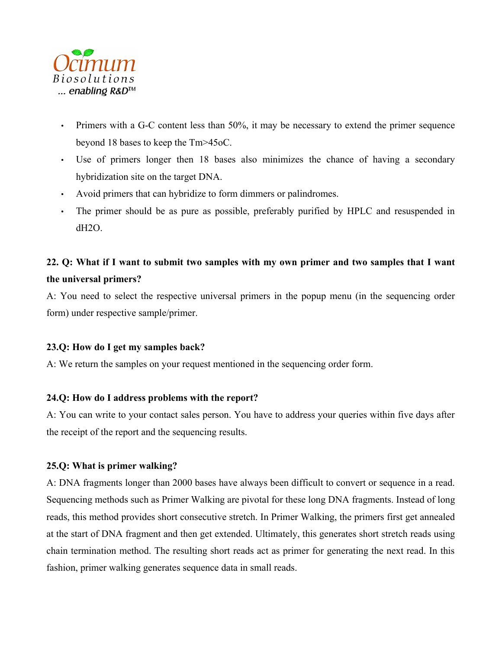

- Primers with a G-C content less than 50%, it may be necessary to extend the primer sequence beyond 18 bases to keep the Tm>45oC.
- Use of primers longer then 18 bases also minimizes the chance of having a secondary hybridization site on the target DNA.
- Avoid primers that can hybridize to form dimmers or palindromes.
- The primer should be as pure as possible, preferably purified by HPLC and resuspended in dH2O.

# 22. O: What if I want to submit two samples with my own primer and two samples that I want **the universal primers?**

A: You need to select the respective universal primers in the popup menu (in the sequencing order form) under respective sample/primer.

# **23.Q: How do I get my samples back?**

A: We return the samples on your request mentioned in the sequencing order form.

# **24.Q: How do I address problems with the report?**

A: You can write to your contact sales person. You have to address your queries within five days after the receipt of the report and the sequencing results.

# **25.Q: What is primer walking?**

A: DNA fragments longer than 2000 bases have always been difficult to convert or sequence in a read. Sequencing methods such as Primer Walking are pivotal for these long DNA fragments. Instead of long reads, this method provides short consecutive stretch. In Primer Walking, the primers first get annealed at the start of DNA fragment and then get extended. Ultimately, this generates short stretch reads using chain termination method. The resulting short reads act as primer for generating the next read. In this fashion, primer walking generates sequence data in small reads.